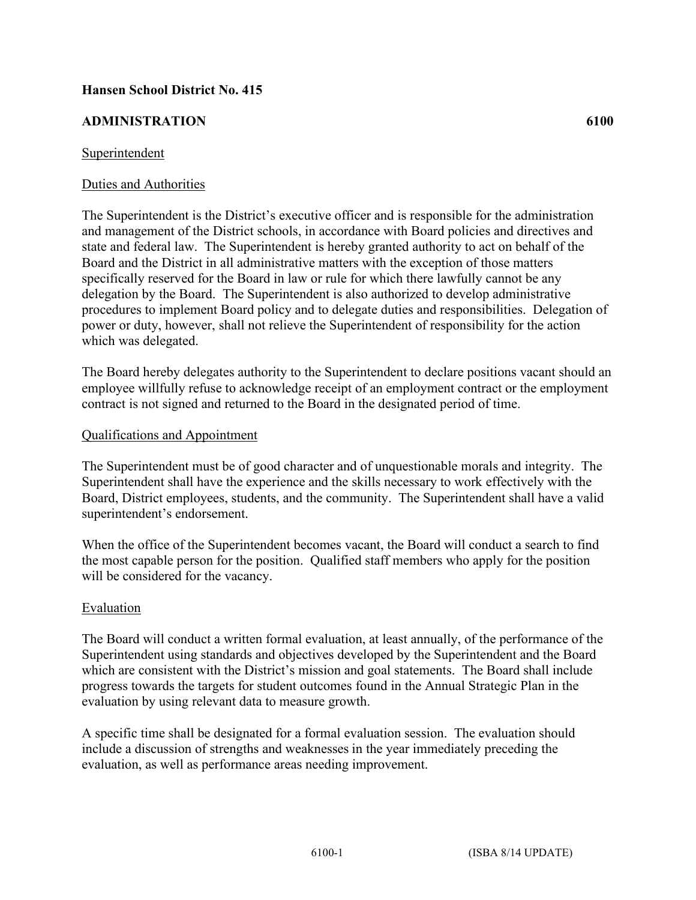# **Hansen School District No. 415**

### **ADMINISTRATION 6100**

#### Superintendent

### Duties and Authorities

The Superintendent is the District's executive officer and is responsible for the administration and management of the District schools, in accordance with Board policies and directives and state and federal law. The Superintendent is hereby granted authority to act on behalf of the Board and the District in all administrative matters with the exception of those matters specifically reserved for the Board in law or rule for which there lawfully cannot be any delegation by the Board. The Superintendent is also authorized to develop administrative procedures to implement Board policy and to delegate duties and responsibilities. Delegation of power or duty, however, shall not relieve the Superintendent of responsibility for the action which was delegated.

The Board hereby delegates authority to the Superintendent to declare positions vacant should an employee willfully refuse to acknowledge receipt of an employment contract or the employment contract is not signed and returned to the Board in the designated period of time.

#### Qualifications and Appointment

The Superintendent must be of good character and of unquestionable morals and integrity. The Superintendent shall have the experience and the skills necessary to work effectively with the Board, District employees, students, and the community. The Superintendent shall have a valid superintendent's endorsement.

When the office of the Superintendent becomes vacant, the Board will conduct a search to find the most capable person for the position. Qualified staff members who apply for the position will be considered for the vacancy.

### Evaluation

The Board will conduct a written formal evaluation, at least annually, of the performance of the Superintendent using standards and objectives developed by the Superintendent and the Board which are consistent with the District's mission and goal statements. The Board shall include progress towards the targets for student outcomes found in the Annual Strategic Plan in the evaluation by using relevant data to measure growth.

A specific time shall be designated for a formal evaluation session. The evaluation should include a discussion of strengths and weaknesses in the year immediately preceding the evaluation, as well as performance areas needing improvement.